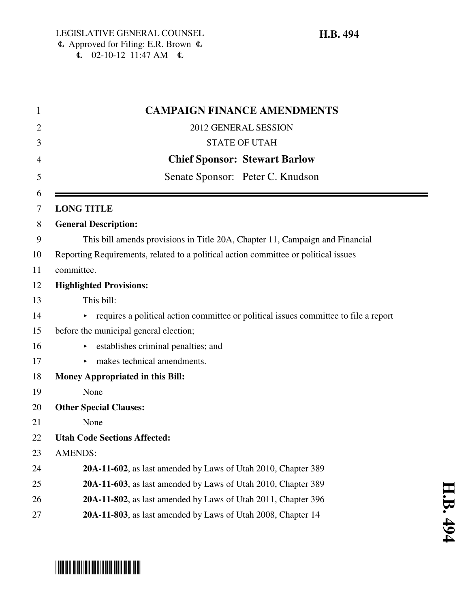$\overline{C}$  02-10-12 11:47 AM  $\overline{C}$ 

| 1      | <b>CAMPAIGN FINANCE AMENDMENTS</b>                                                   |
|--------|--------------------------------------------------------------------------------------|
| 2      | 2012 GENERAL SESSION                                                                 |
| 3      | <b>STATE OF UTAH</b>                                                                 |
| 4      | <b>Chief Sponsor: Stewart Barlow</b>                                                 |
| 5      | Senate Sponsor: Peter C. Knudson                                                     |
| 6<br>7 | <b>LONG TITLE</b>                                                                    |
| 8      | <b>General Description:</b>                                                          |
| 9      | This bill amends provisions in Title 20A, Chapter 11, Campaign and Financial         |
| 10     | Reporting Requirements, related to a political action committee or political issues  |
| 11     | committee.                                                                           |
| 12     | <b>Highlighted Provisions:</b>                                                       |
| 13     | This bill:                                                                           |
| 14     | requires a political action committee or political issues committee to file a report |
| 15     | before the municipal general election;                                               |
| 16     | establishes criminal penalties; and                                                  |
| 17     | makes technical amendments.                                                          |
| 18     | <b>Money Appropriated in this Bill:</b>                                              |
| 19     | None                                                                                 |
| 20     | <b>Other Special Clauses:</b>                                                        |
| 21     | None                                                                                 |
| 22     | <b>Utah Code Sections Affected:</b>                                                  |
| 23     | <b>AMENDS:</b>                                                                       |
| 24     | 20A-11-602, as last amended by Laws of Utah 2010, Chapter 389                        |
| 25     | 20A-11-603, as last amended by Laws of Utah 2010, Chapter 389                        |
| 26     | 20A-11-802, as last amended by Laws of Utah 2011, Chapter 396                        |
| 27     | 20A-11-803, as last amended by Laws of Utah 2008, Chapter 14                         |



# \*HB0494\*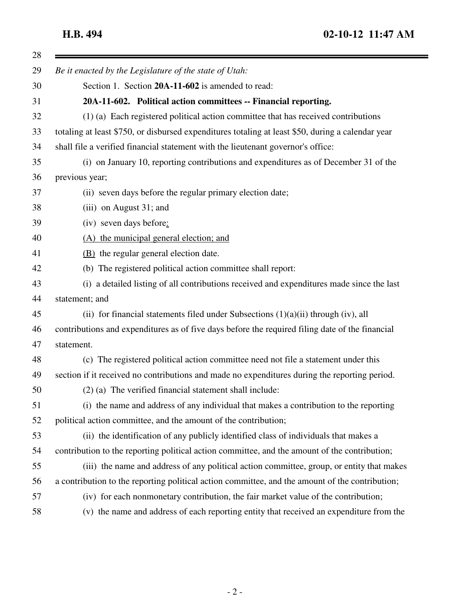| Be it enacted by the Legislature of the state of Utah:                                            |
|---------------------------------------------------------------------------------------------------|
| Section 1. Section 20A-11-602 is amended to read:                                                 |
| 20A-11-602. Political action committees -- Financial reporting.                                   |
| (1) (a) Each registered political action committee that has received contributions                |
| totaling at least \$750, or disbursed expenditures totaling at least \$50, during a calendar year |
| shall file a verified financial statement with the lieutenant governor's office:                  |
| (i) on January 10, reporting contributions and expenditures as of December 31 of the              |
| previous year;                                                                                    |
| (ii) seven days before the regular primary election date;                                         |
| $(iii)$ on August 31; and                                                                         |
| (iv) seven days before:                                                                           |
| (A) the municipal general election; and                                                           |
| (B) the regular general election date.                                                            |
| (b) The registered political action committee shall report:                                       |
| (i) a detailed listing of all contributions received and expenditures made since the last         |
| statement; and                                                                                    |
| (ii) for financial statements filed under Subsections $(1)(a)(ii)$ through (iv), all              |
| contributions and expenditures as of five days before the required filing date of the financial   |
| statement.                                                                                        |
| (c) The registered political action committee need not file a statement under this                |
| section if it received no contributions and made no expenditures during the reporting period.     |
| $(2)$ (a) The verified financial statement shall include:                                         |
| (i) the name and address of any individual that makes a contribution to the reporting             |
| political action committee, and the amount of the contribution;                                   |
| (ii) the identification of any publicly identified class of individuals that makes a              |
| contribution to the reporting political action committee, and the amount of the contribution;     |
| (iii) the name and address of any political action committee, group, or entity that makes         |
| a contribution to the reporting political action committee, and the amount of the contribution;   |
| (iv) for each nonmonetary contribution, the fair market value of the contribution;                |
| (v) the name and address of each reporting entity that received an expenditure from the           |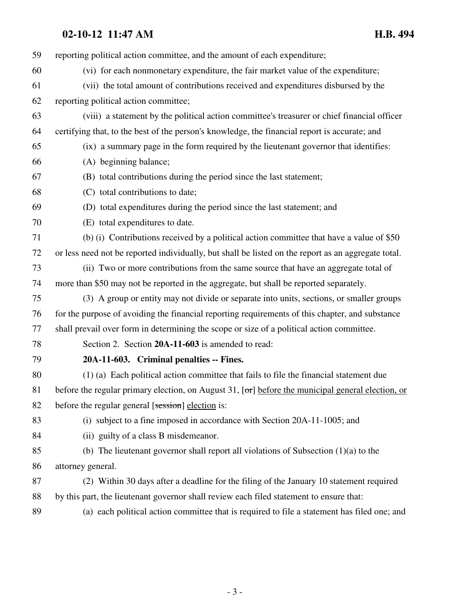## **02-10-12 11:47 AM H.B. 494**

| 59 | reporting political action committee, and the amount of each expenditure;                                   |
|----|-------------------------------------------------------------------------------------------------------------|
| 60 | (vi) for each nonmonetary expenditure, the fair market value of the expenditure;                            |
| 61 | (vii) the total amount of contributions received and expenditures disbursed by the                          |
| 62 | reporting political action committee;                                                                       |
| 63 | (viii) a statement by the political action committee's treasurer or chief financial officer                 |
| 64 | certifying that, to the best of the person's knowledge, the financial report is accurate; and               |
| 65 | (ix) a summary page in the form required by the lieutenant governor that identifies:                        |
| 66 | (A) beginning balance;                                                                                      |
| 67 | (B) total contributions during the period since the last statement;                                         |
| 68 | (C) total contributions to date;                                                                            |
| 69 | (D) total expenditures during the period since the last statement; and                                      |
| 70 | (E) total expenditures to date.                                                                             |
| 71 | (b) (i) Contributions received by a political action committee that have a value of \$50                    |
| 72 | or less need not be reported individually, but shall be listed on the report as an aggregate total.         |
| 73 | (ii) Two or more contributions from the same source that have an aggregate total of                         |
| 74 | more than \$50 may not be reported in the aggregate, but shall be reported separately.                      |
| 75 | (3) A group or entity may not divide or separate into units, sections, or smaller groups                    |
| 76 | for the purpose of avoiding the financial reporting requirements of this chapter, and substance             |
| 77 | shall prevail over form in determining the scope or size of a political action committee.                   |
| 78 | Section 2. Section 20A-11-603 is amended to read:                                                           |
| 79 | 20A-11-603. Criminal penalties -- Fines.                                                                    |
| 80 | (1) (a) Each political action committee that fails to file the financial statement due                      |
| 81 | before the regular primary election, on August 31, $[\sigma\tau]$ before the municipal general election, or |
| 82 | before the regular general [session] election is:                                                           |
| 83 | (i) subject to a fine imposed in accordance with Section 20A-11-1005; and                                   |
| 84 | (ii) guilty of a class B misdemeanor.                                                                       |
| 85 | (b) The lieutenant governor shall report all violations of Subsection $(1)(a)$ to the                       |
| 86 | attorney general.                                                                                           |
| 87 | (2) Within 30 days after a deadline for the filing of the January 10 statement required                     |
| 88 | by this part, the lieutenant governor shall review each filed statement to ensure that:                     |
| 89 | (a) each political action committee that is required to file a statement has filed one; and                 |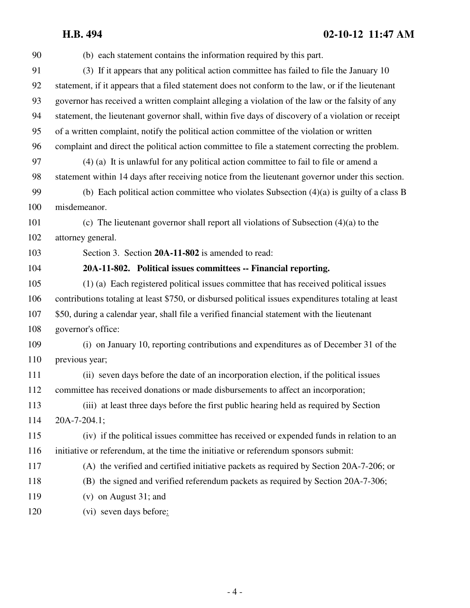## **H.B. 494 02-10-12 11:47 AM**

| 90  | (b) each statement contains the information required by this part.                                  |
|-----|-----------------------------------------------------------------------------------------------------|
| 91  | (3) If it appears that any political action committee has failed to file the January 10             |
| 92  | statement, if it appears that a filed statement does not conform to the law, or if the lieutenant   |
| 93  | governor has received a written complaint alleging a violation of the law or the falsity of any     |
| 94  | statement, the lieutenant governor shall, within five days of discovery of a violation or receipt   |
| 95  | of a written complaint, notify the political action committee of the violation or written           |
| 96  | complaint and direct the political action committee to file a statement correcting the problem.     |
| 97  | $(4)$ (a) It is unlawful for any political action committee to fail to file or amend a              |
| 98  | statement within 14 days after receiving notice from the lieutenant governor under this section.    |
| 99  | (b) Each political action committee who violates Subsection $(4)(a)$ is guilty of a class B         |
| 100 | misdemeanor.                                                                                        |
| 101 | (c) The lieutenant governor shall report all violations of Subsection $(4)(a)$ to the               |
| 102 | attorney general.                                                                                   |
| 103 | Section 3. Section 20A-11-802 is amended to read:                                                   |
| 104 | 20A-11-802. Political issues committees -- Financial reporting.                                     |
| 105 | (1) (a) Each registered political issues committee that has received political issues               |
| 106 | contributions totaling at least \$750, or disbursed political issues expenditures totaling at least |
| 107 | \$50, during a calendar year, shall file a verified financial statement with the lieutenant         |
| 108 | governor's office:                                                                                  |
| 109 | (i) on January 10, reporting contributions and expenditures as of December 31 of the                |
| 110 | previous year;                                                                                      |
| 111 | (ii) seven days before the date of an incorporation election, if the political issues               |
| 112 | committee has received donations or made disbursements to affect an incorporation;                  |
| 113 | (iii) at least three days before the first public hearing held as required by Section               |
| 114 | 20A-7-204.1;                                                                                        |
| 115 | (iv) if the political issues committee has received or expended funds in relation to an             |
| 116 | initiative or referendum, at the time the initiative or referendum sponsors submit:                 |
| 117 | (A) the verified and certified initiative packets as required by Section 20A-7-206; or              |
| 118 | (B) the signed and verified referendum packets as required by Section 20A-7-306;                    |
| 119 | $(v)$ on August 31; and                                                                             |
| 120 | (vi) seven days before:                                                                             |
|     |                                                                                                     |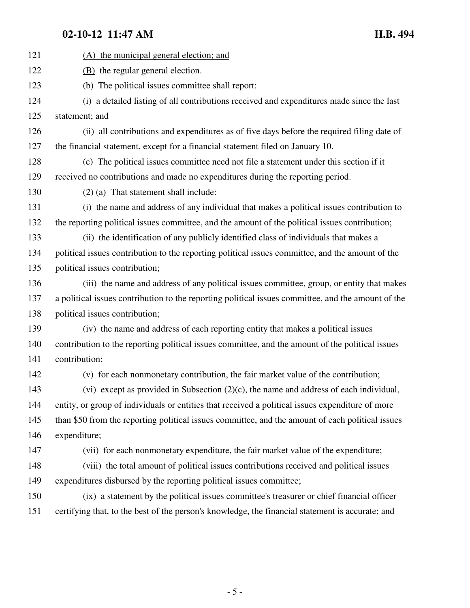## **02-10-12 11:47 AM H.B. 494**

| 121 | (A) the municipal general election; and                                                            |
|-----|----------------------------------------------------------------------------------------------------|
| 122 | (B) the regular general election.                                                                  |
| 123 | (b) The political issues committee shall report:                                                   |
| 124 | (i) a detailed listing of all contributions received and expenditures made since the last          |
| 125 | statement; and                                                                                     |
| 126 | (ii) all contributions and expenditures as of five days before the required filing date of         |
| 127 | the financial statement, except for a financial statement filed on January 10.                     |
| 128 | (c) The political issues committee need not file a statement under this section if it              |
| 129 | received no contributions and made no expenditures during the reporting period.                    |
| 130 | $(2)$ (a) That statement shall include:                                                            |
| 131 | (i) the name and address of any individual that makes a political issues contribution to           |
| 132 | the reporting political issues committee, and the amount of the political issues contribution;     |
| 133 | (ii) the identification of any publicly identified class of individuals that makes a               |
| 134 | political issues contribution to the reporting political issues committee, and the amount of the   |
| 135 | political issues contribution;                                                                     |
| 136 | (iii) the name and address of any political issues committee, group, or entity that makes          |
| 137 | a political issues contribution to the reporting political issues committee, and the amount of the |
| 138 | political issues contribution;                                                                     |
| 139 | (iv) the name and address of each reporting entity that makes a political issues                   |
| 140 | contribution to the reporting political issues committee, and the amount of the political issues   |
| 141 | contribution;                                                                                      |
| 142 | (v) for each nonmonetary contribution, the fair market value of the contribution;                  |
| 143 | (vi) except as provided in Subsection $(2)(c)$ , the name and address of each individual,          |
| 144 | entity, or group of individuals or entities that received a political issues expenditure of more   |
| 145 | than \$50 from the reporting political issues committee, and the amount of each political issues   |
| 146 | expenditure;                                                                                       |
| 147 | (vii) for each nonmonetary expenditure, the fair market value of the expenditure;                  |
| 148 | (viii) the total amount of political issues contributions received and political issues            |
| 149 | expenditures disbursed by the reporting political issues committee;                                |
| 150 | (ix) a statement by the political issues committee's treasurer or chief financial officer          |
| 151 | certifying that, to the best of the person's knowledge, the financial statement is accurate; and   |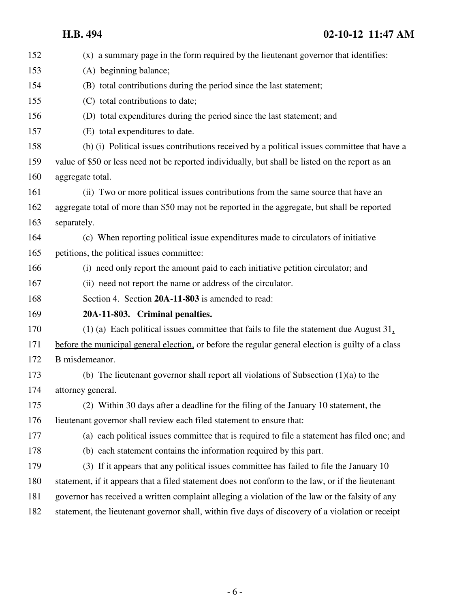## **H.B. 494 02-10-12 11:47 AM**

| 152 | (x) a summary page in the form required by the lieutenant governor that identifies:                |
|-----|----------------------------------------------------------------------------------------------------|
| 153 | (A) beginning balance;                                                                             |
| 154 | (B) total contributions during the period since the last statement;                                |
| 155 | (C) total contributions to date;                                                                   |
| 156 | (D) total expenditures during the period since the last statement; and                             |
| 157 | (E) total expenditures to date.                                                                    |
| 158 | (b) (i) Political issues contributions received by a political issues committee that have a        |
| 159 | value of \$50 or less need not be reported individually, but shall be listed on the report as an   |
| 160 | aggregate total.                                                                                   |
| 161 | (ii) Two or more political issues contributions from the same source that have an                  |
| 162 | aggregate total of more than \$50 may not be reported in the aggregate, but shall be reported      |
| 163 | separately.                                                                                        |
| 164 | (c) When reporting political issue expenditures made to circulators of initiative                  |
| 165 | petitions, the political issues committee:                                                         |
| 166 | (i) need only report the amount paid to each initiative petition circulator; and                   |
| 167 | (ii) need not report the name or address of the circulator.                                        |
| 168 | Section 4. Section 20A-11-803 is amended to read:                                                  |
| 169 | 20A-11-803. Criminal penalties.                                                                    |
| 170 | $(1)$ (a) Each political issues committee that fails to file the statement due August 31,          |
| 171 | before the municipal general election, or before the regular general election is guilty of a class |
| 172 | B misdemeanor.                                                                                     |
| 173 | (b) The lieutenant governor shall report all violations of Subsection $(1)(a)$ to the              |
| 174 | attorney general.                                                                                  |
| 175 | (2) Within 30 days after a deadline for the filing of the January 10 statement, the                |
| 176 | lieutenant governor shall review each filed statement to ensure that:                              |
| 177 | (a) each political issues committee that is required to file a statement has filed one; and        |
| 178 | (b) each statement contains the information required by this part.                                 |
| 179 | (3) If it appears that any political issues committee has failed to file the January 10            |
| 180 | statement, if it appears that a filed statement does not conform to the law, or if the lieutenant  |
| 181 | governor has received a written complaint alleging a violation of the law or the falsity of any    |
| 182 | statement, the lieutenant governor shall, within five days of discovery of a violation or receipt  |